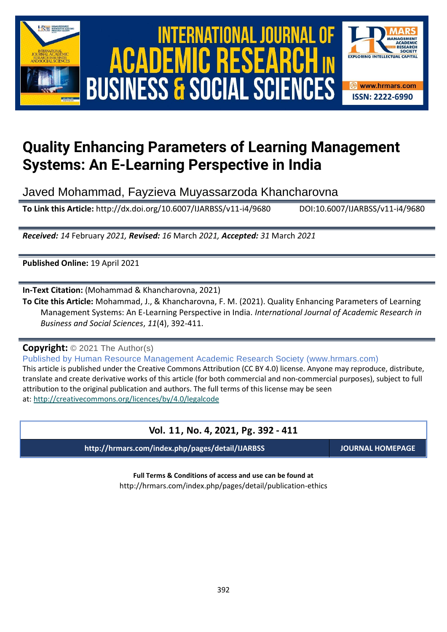

# International Journal of Academic Research in Business and Social Sciences **Vol. 1 1 , No. 4, 2021, E-ISSN: 2222-6990 © 2021 HRMARS ACADEMIC BUSINESS & SOCIAL SCIENCES**



# **Quality Enhancing Parameters of Learning Management Systems: An E-Learning Perspective in India**

Javed Mohammad, Fayzieva Muyassarzoda Khancharovna

**To Link this Article:** http://dx.doi.org/10.6007/IJARBSS/v11-i4/9680 DOI:10.6007/IJARBSS/v11-i4/9680

*Received: 14* February *2021, Revised: 16* March *2021, Accepted: 31* March *2021*

**Published Online:** 19 April 2021

**In-Text Citation:** (Mohammad & Khancharovna, 2021)

**To Cite this Article:** Mohammad, J., & Khancharovna, F. M. (2021). Quality Enhancing Parameters of Learning Management Systems: An E-Learning Perspective in India. *International Journal of Academic Research in Business and Social Sciences*, *11*(4), 392-411.

**Copyright:** © 2021 The Author(s)

Published by Human Resource Management Academic Research Society (www.hrmars.com) This article is published under the Creative Commons Attribution (CC BY 4.0) license. Anyone may reproduce, distribute, translate and create derivative works of this article (for both commercial and non-commercial purposes), subject to full attribution to the original publication and authors. The full terms of this license may be seen at: <http://creativecommons.org/licences/by/4.0/legalcode>

# **Vol. 11, No. 4, 2021, Pg. 392 - 411**

**http://hrmars.com/index.php/pages/detail/IJARBSS JOURNAL HOMEPAGE**

**Full Terms & Conditions of access and use can be found at** http://hrmars.com/index.php/pages/detail/publication-ethics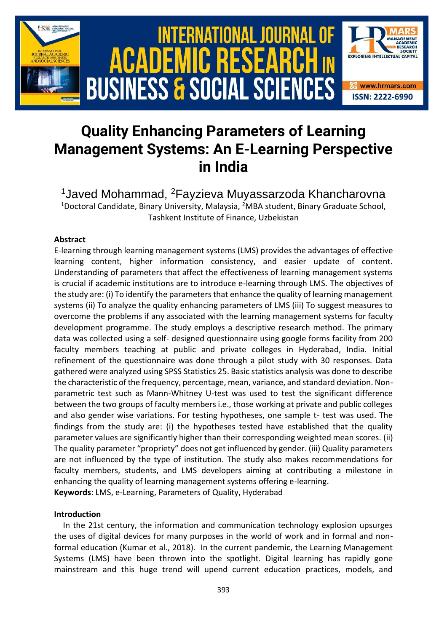

# **Quality Enhancing Parameters of Learning Management Systems: An E-Learning Perspective in India**

<sup>1</sup>Javed Mohammad, <sup>2</sup>Fayzieva Muyassarzoda Khancharovna <sup>1</sup>Doctoral Candidate, Binary University, Malaysia, <sup>2</sup>MBA student, Binary Graduate School, Tashkent Institute of Finance, Uzbekistan

## **Abstract**

E-learning through learning management systems (LMS) provides the advantages of effective learning content, higher information consistency, and easier update of content. Understanding of parameters that affect the effectiveness of learning management systems is crucial if academic institutions are to introduce e-learning through LMS. The objectives of the study are: (i) To identify the parameters that enhance the quality of learning management systems (ii) To analyze the quality enhancing parameters of LMS (iii) To suggest measures to overcome the problems if any associated with the learning management systems for faculty development programme. The study employs a descriptive research method. The primary data was collected using a self- designed questionnaire using google forms facility from 200 faculty members teaching at public and private colleges in Hyderabad, India. Initial refinement of the questionnaire was done through a pilot study with 30 responses. Data gathered were analyzed using SPSS Statistics 25. Basic statistics analysis was done to describe the characteristic of the frequency, percentage, mean, variance, and standard deviation. Nonparametric test such as Mann-Whitney U-test was used to test the significant difference between the two groups of faculty members i.e., those working at private and public colleges and also gender wise variations. For testing hypotheses, one sample t- test was used. The findings from the study are: (i) the hypotheses tested have established that the quality parameter values are significantly higher than their corresponding weighted mean scores. (ii) The quality parameter "propriety" does not get influenced by gender. (iii) Quality parameters are not influenced by the type of institution. The study also makes recommendations for faculty members, students, and LMS developers aiming at contributing a milestone in enhancing the quality of learning management systems offering e-learning. **Keywords**: LMS, e-Learning, Parameters of Quality, Hyderabad

#### **Introduction**

In the 21st century, the information and communication technology explosion upsurges the uses of digital devices for many purposes in the world of work and in formal and nonformal education (Kumar et al., 2018). In the current pandemic, the Learning Management Systems (LMS) have been thrown into the spotlight. Digital learning has rapidly gone mainstream and this huge trend will upend current education practices, models, and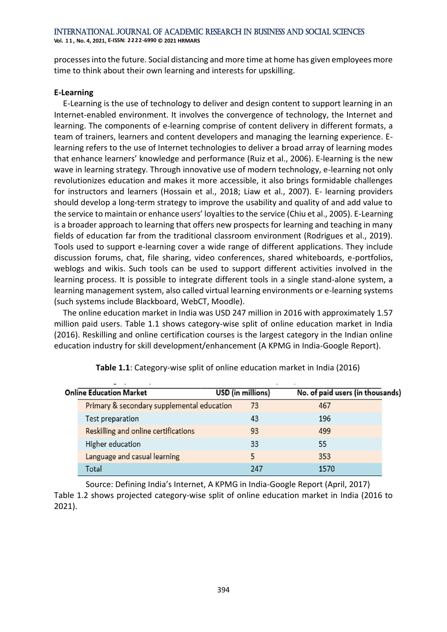**Vol. 1 1 , No. 4, 2021, E-ISSN: 2222-6990 © 2021 HRMARS**

processes into the future. Social distancing and more time at home has given employees more time to think about their own learning and interests for upskilling.

#### **E‐Learning**

E-Learning is the use of technology to deliver and design content to support learning in an Internet-enabled environment. It involves the convergence of technology, the Internet and learning. The components of e-learning comprise of content delivery in different formats, a team of trainers, learners and content developers and managing the learning experience. Elearning refers to the use of Internet technologies to deliver a broad array of learning modes that enhance learners' knowledge and performance (Ruiz et al., 2006). E-learning is the new wave in learning strategy. Through innovative use of modern technology, e-learning not only revolutionizes education and makes it more accessible, it also brings formidable challenges for instructors and learners (Hossain et al., 2018; Liaw et al., 2007). E- learning providers should develop a long-term strategy to improve the usability and quality of and add value to the service to maintain or enhance users' loyalties to the service (Chiu et al., 2005). E-Learning is a broader approach to learning that offers new prospects for learning and teaching in many fields of education far from the traditional classroom environment (Rodrigues et al., 2019). Tools used to support e-learning cover a wide range of different applications. They include discussion forums, chat, file sharing, video conferences, shared whiteboards, e-portfolios, weblogs and wikis. Such tools can be used to support different activities involved in the learning process. It is possible to integrate different tools in a single stand-alone system, a learning management system, also called virtual learning environments or e-learning systems (such systems include Blackboard, WebCT, Moodle).

The online education market in India was USD 247 million in 2016 with approximately 1.57 million paid users. Table 1.1 shows category-wise split of online education market in India (2016). Reskilling and online certification courses is the largest category in the Indian online education industry for skill development/enhancement (A KPMG in India-Google Report).

| <b>Online Education Market</b> |                                            | USD (in millions) | No. of paid users (in thousands) |  |  |
|--------------------------------|--------------------------------------------|-------------------|----------------------------------|--|--|
|                                | Primary & secondary supplemental education | 73                | 467                              |  |  |
|                                | Test preparation                           | 43                | 196                              |  |  |
|                                | Reskilling and online certifications       | 93                | 499                              |  |  |
|                                | Higher education                           | 33                | 55                               |  |  |
|                                | Language and casual learning               |                   | 353                              |  |  |
|                                | Total                                      | 247               | 1570                             |  |  |

**Table 1.1**: Category-wise split of online education market in India (2016)

Source: Defining India's Internet, A KPMG in India-Google Report (April, 2017) Table 1.2 shows projected category-wise split of online education market in India (2016 to 2021).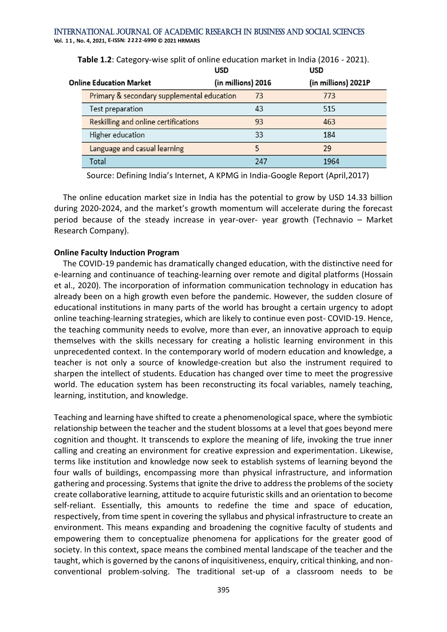| <b>Online Education Market</b>       |     | (in millions) 2021P                                              |            |
|--------------------------------------|-----|------------------------------------------------------------------|------------|
|                                      | 73  | 773                                                              |            |
| Test preparation                     | 43  | 515                                                              |            |
| Reskilling and online certifications | 93  | 463                                                              |            |
| Higher education                     | 33  | 184                                                              |            |
| Language and casual learning         | 5   | 29                                                               |            |
| Total                                | 247 | 1964                                                             |            |
|                                      |     | (in millions) 2016<br>Primary & secondary supplemental education | บรม<br>บรม |

**Table 1.2**: Category-wise split of online education market in India (2016 - 2021).

Source: Defining India's Internet, A KPMG in India-Google Report (April,2017)

The online education market size in India has the potential to grow by USD 14.33 billion during 2020-2024, and the market's growth momentum will accelerate during the forecast period because of the steady increase in year-over- year growth (Technavio – Market Research Company).

#### **Online Faculty Induction Program**

The COVID-19 pandemic has dramatically changed education, with the distinctive need for e-learning and continuance of teaching-learning over remote and digital platforms (Hossain et al., 2020). The incorporation of information communication technology in education has already been on a high growth even before the pandemic. However, the sudden closure of educational institutions in many parts of the world has brought a certain urgency to adopt online teaching-learning strategies, which are likely to continue even post- COVID-19. Hence, the teaching community needs to evolve, more than ever, an innovative approach to equip themselves with the skills necessary for creating a holistic learning environment in this unprecedented context. In the contemporary world of modern education and knowledge, a teacher is not only a source of knowledge-creation but also the instrument required to sharpen the intellect of students. Education has changed over time to meet the progressive world. The education system has been reconstructing its focal variables, namely teaching, learning, institution, and knowledge.

Teaching and learning have shifted to create a phenomenological space, where the symbiotic relationship between the teacher and the student blossoms at a level that goes beyond mere cognition and thought. It transcends to explore the meaning of life, invoking the true inner calling and creating an environment for creative expression and experimentation. Likewise, terms like institution and knowledge now seek to establish systems of learning beyond the four walls of buildings, encompassing more than physical infrastructure, and information gathering and processing. Systems that ignite the drive to address the problems of the society create collaborative learning, attitude to acquire futuristic skills and an orientation to become self-reliant. Essentially, this amounts to redefine the time and space of education, respectively, from time spent in covering the syllabus and physical infrastructure to create an environment. This means expanding and broadening the cognitive faculty of students and empowering them to conceptualize phenomena for applications for the greater good of society. In this context, space means the combined mental landscape of the teacher and the taught, which is governed by the canons of inquisitiveness, enquiry, critical thinking, and nonconventional problem-solving. The traditional set-up of a classroom needs to be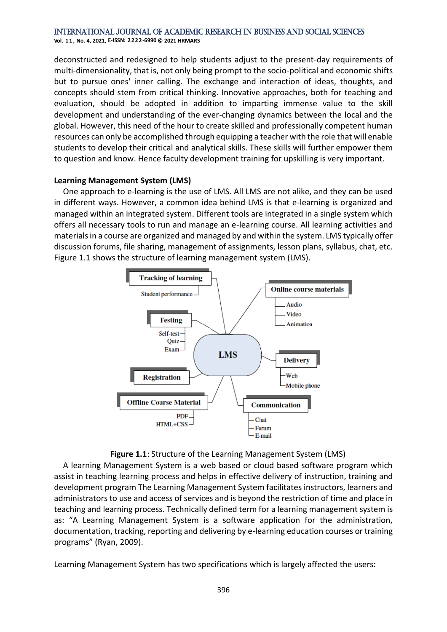**Vol. 1 1 , No. 4, 2021, E-ISSN: 2222-6990 © 2021 HRMARS**

deconstructed and redesigned to help students adjust to the present-day requirements of multi-dimensionality, that is, not only being prompt to the socio-political and economic shifts but to pursue ones' inner calling. The exchange and interaction of ideas, thoughts, and concepts should stem from critical thinking. Innovative approaches, both for teaching and evaluation, should be adopted in addition to imparting immense value to the skill development and understanding of the ever-changing dynamics between the local and the global. However, this need of the hour to create skilled and professionally competent human resources can only be accomplished through equipping a teacher with the role that will enable students to develop their critical and analytical skills. These skills will further empower them to question and know. Hence faculty development training for upskilling is very important.

#### **Learning Management System (LMS)**

One approach to e-learning is the use of LMS. All LMS are not alike, and they can be used in different ways. However, a common idea behind LMS is that e-learning is organized and managed within an integrated system. Different tools are integrated in a single system which offers all necessary tools to run and manage an e-learning course. All learning activities and materials in a course are organized and managed by and within the system. LMS typically offer discussion forums, file sharing, management of assignments, lesson plans, syllabus, chat, etc. Figure 1.1 shows the structure of learning management system (LMS).





A learning Management System is a web based or cloud based software program which assist in teaching learning process and helps in effective delivery of instruction, training and development program The Learning Management System facilitates instructors, learners and administrators to use and access of services and is beyond the restriction of time and place in teaching and learning process. Technically defined term for a learning management system is as: "A Learning Management System is a software application for the administration, documentation, tracking, reporting and delivering by e-learning education courses or training programs" (Ryan, 2009).

Learning Management System has two specifications which is largely affected the users: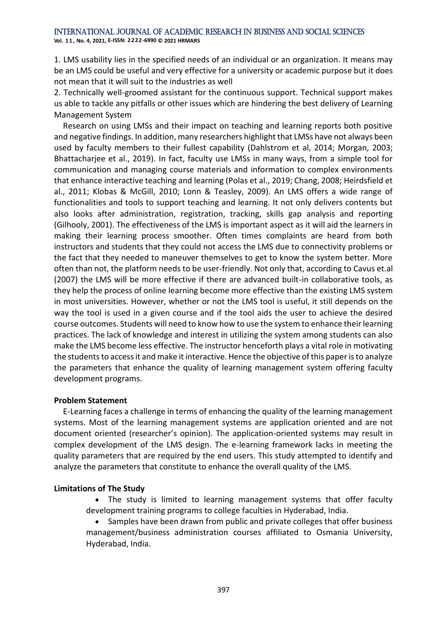**Vol. 1 1 , No. 4, 2021, E-ISSN: 2222-6990 © 2021 HRMARS**

1. LMS usability lies in the specified needs of an individual or an organization. It means may be an LMS could be useful and very effective for a university or academic purpose but it does not mean that it will suit to the industries as well

2. Technically well-groomed assistant for the continuous support. Technical support makes us able to tackle any pitfalls or other issues which are hindering the best delivery of Learning Management System

Research on using LMSs and their impact on teaching and learning reports both positive and negative findings. In addition, many researchers highlight that LMSs have not always been used by faculty members to their fullest capability (Dahlstrom et al, 2014; Morgan, 2003; Bhattacharjee et al., 2019). In fact, faculty use LMSs in many ways, from a simple tool for communication and managing course materials and information to complex environments that enhance interactive teaching and learning (Polas et al., 2019; Chang, 2008; Heirdsfield et al., 2011; Klobas & McGill, 2010; Lonn & Teasley, 2009). An LMS offers a wide range of functionalities and tools to support teaching and learning. It not only delivers contents but also looks after administration, registration, tracking, skills gap analysis and reporting (Gilhooly, 2001). The effectiveness of the LMS is important aspect as it will aid the learners in making their learning process smoother. Often times complaints are heard from both instructors and students that they could not access the LMS due to connectivity problems or the fact that they needed to maneuver themselves to get to know the system better. More often than not, the platform needs to be user-friendly. Not only that, according to Cavus et.al (2007) the LMS will be more effective if there are advanced built-in collaborative tools, as they help the process of online learning become more effective than the existing LMS system in most universities. However, whether or not the LMS tool is useful, it still depends on the way the tool is used in a given course and if the tool aids the user to achieve the desired course outcomes. Students will need to know how to use the system to enhance their learning practices. The lack of knowledge and interest in utilizing the system among students can also make the LMS become less effective. The instructor henceforth plays a vital role in motivating the students to access it and make it interactive. Hence the objective of this paper is to analyze the parameters that enhance the quality of learning management system offering faculty development programs.

#### **Problem Statement**

E-Learning faces a challenge in terms of enhancing the quality of the learning management systems. Most of the learning management systems are application oriented and are not document oriented (researcher's opinion). The application-oriented systems may result in complex development of the LMS design. The e-learning framework lacks in meeting the quality parameters that are required by the end users. This study attempted to identify and analyze the parameters that constitute to enhance the overall quality of the LMS.

#### **Limitations of The Study**

• The study is limited to learning management systems that offer faculty development training programs to college faculties in Hyderabad, India.

• Samples have been drawn from public and private colleges that offer business management/business administration courses affiliated to Osmania University, Hyderabad, India.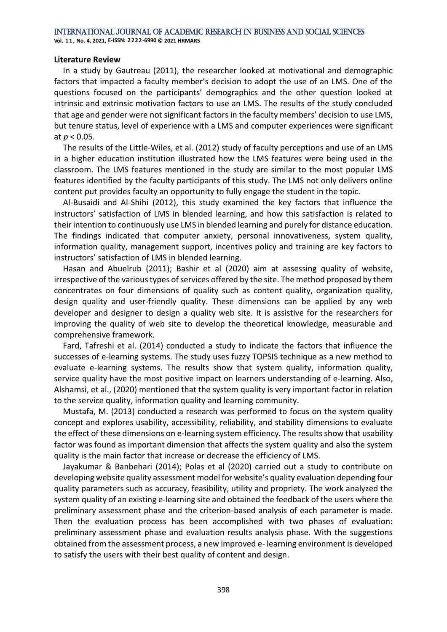**Vol. 1 1 , No. 4, 2021, E-ISSN: 2222-6990 © 2021 HRMARS**

#### **Literature Review**

In a study by Gautreau (2011), the researcher looked at motivational and demographic factors that impacted a faculty member's decision to adopt the use of an LMS. One of the questions focused on the participants' demographics and the other question looked at intrinsic and extrinsic motivation factors to use an LMS. The results of the study concluded that age and gender were not significant factors in the faculty members' decision to use LMS, but tenure status, level of experience with a LMS and computer experiences were significant at *p* < 0.05.

The results of the Little-Wiles, et al. (2012) study of faculty perceptions and use of an LMS in a higher education institution illustrated how the LMS features were being used in the classroom. The LMS features mentioned in the study are similar to the most popular LMS features identified by the faculty participants of this study. The LMS not only delivers online content put provides faculty an opportunity to fully engage the student in the topic.

Al-Busaidi and Al-Shihi (2012), this study examined the key factors that influence the instructors' satisfaction of LMS in blended learning, and how this satisfaction is related to their intention to continuously use LMS in blended learning and purely for distance education. The findings indicated that computer anxiety, personal innovativeness, system quality, information quality, management support, incentives policy and training are key factors to instructors' satisfaction of LMS in blended learning.

Hasan and Abuelrub (2011); Bashir et al (2020) aim at assessing quality of website, irrespective of the various types of services offered by the site. The method proposed by them concentrates on four dimensions of quality such as content quality, organization quality, design quality and user-friendly quality. These dimensions can be applied by any web developer and designer to design a quality web site. It is assistive for the researchers for improving the quality of web site to develop the theoretical knowledge, measurable and comprehensive framework.

Fard, Tafreshi et al. (2014) conducted a study to indicate the factors that influence the successes of e-learning systems. The study uses fuzzy TOPSIS technique as a new method to evaluate e-learning systems. The results show that system quality, information quality, service quality have the most positive impact on learners understanding of e-learning. Also, Alshamsi, et al., (2020) mentioned that the system quality is very important factor in relation to the service quality, information quality and learning community.

Mustafa, M. (2013) conducted a research was performed to focus on the system quality concept and explores usability, accessibility, reliability, and stability dimensions to evaluate the effect of these dimensions on e-learning system efficiency. The results show that usability factor was found as important dimension that affects the system quality and also the system quality is the main factor that increase or decrease the efficiency of LMS.

Jayakumar & Banbehari (2014); Polas et al (2020) carried out a study to contribute on developing website quality assessment model for website's quality evaluation depending four quality parameters such as accuracy, feasibility, utility and propriety. The work analyzed the system quality of an existing e-learning site and obtained the feedback of the users where the preliminary assessment phase and the criterion-based analysis of each parameter is made. Then the evaluation process has been accomplished with two phases of evaluation: preliminary assessment phase and evaluation results analysis phase. With the suggestions obtained from the assessment process, a new improved e- learning environment is developed to satisfy the users with their best quality of content and design.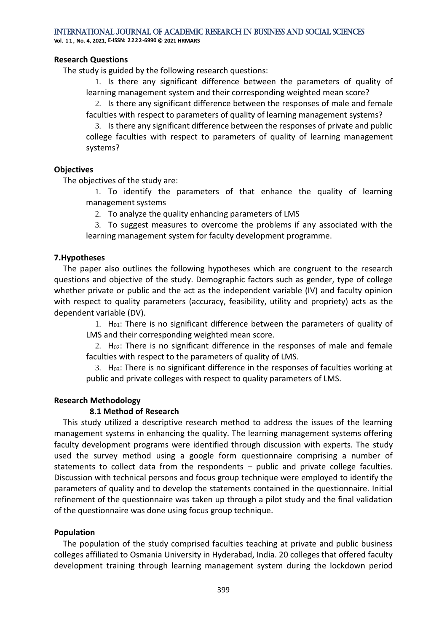**Vol. 1 1 , No. 4, 2021, E-ISSN: 2222-6990 © 2021 HRMARS**

#### **Research Questions**

The study is guided by the following research questions:

1. Is there any significant difference between the parameters of quality of learning management system and their corresponding weighted mean score?

2. Is there any significant difference between the responses of male and female faculties with respect to parameters of quality of learning management systems?

3. Is there any significant difference between the responses of private and public college faculties with respect to parameters of quality of learning management systems?

#### **Objectives**

The objectives of the study are:

1. To identify the parameters of that enhance the quality of learning management systems

2. To analyze the quality enhancing parameters of LMS

3. To suggest measures to overcome the problems if any associated with the learning management system for faculty development programme.

#### **7.Hypotheses**

The paper also outlines the following hypotheses which are congruent to the research questions and objective of the study. Demographic factors such as gender, type of college whether private or public and the act as the independent variable (IV) and faculty opinion with respect to quality parameters (accuracy, feasibility, utility and propriety) acts as the dependent variable (DV).

1.  $H<sub>01</sub>$ : There is no significant difference between the parameters of quality of LMS and their corresponding weighted mean score.

2.  $H_{02}$ : There is no significant difference in the responses of male and female faculties with respect to the parameters of quality of LMS.

3. H03: There is no significant difference in the responses of faculties working at public and private colleges with respect to quality parameters of LMS.

#### **Research Methodology**

#### **8.1 Method of Research**

This study utilized a descriptive research method to address the issues of the learning management systems in enhancing the quality. The learning management systems offering faculty development programs were identified through discussion with experts. The study used the survey method using a google form questionnaire comprising a number of statements to collect data from the respondents – public and private college faculties. Discussion with technical persons and focus group technique were employed to identify the parameters of quality and to develop the statements contained in the questionnaire. Initial refinement of the questionnaire was taken up through a pilot study and the final validation of the questionnaire was done using focus group technique.

#### **Population**

The population of the study comprised faculties teaching at private and public business colleges affiliated to Osmania University in Hyderabad, India. 20 colleges that offered faculty development training through learning management system during the lockdown period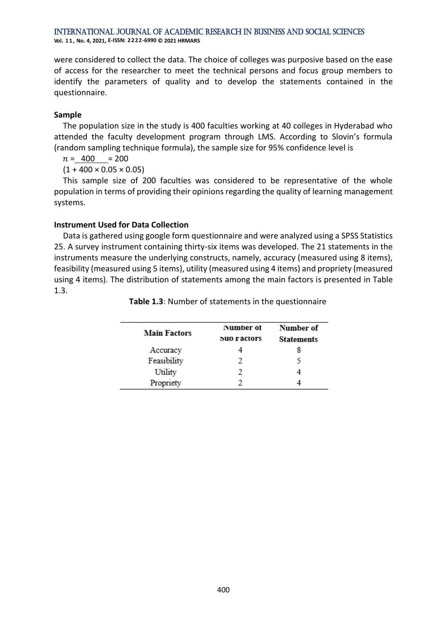**Vol. 1 1 , No. 4, 2021, E-ISSN: 2222-6990 © 2021 HRMARS**

were considered to collect the data. The choice of colleges was purposive based on the ease of access for the researcher to meet the technical persons and focus group members to identify the parameters of quality and to develop the statements contained in the questionnaire.

## **Sample**

The population size in the study is 400 faculties working at 40 colleges in Hyderabad who attended the faculty development program through LMS. According to Slovin's formula (random sampling technique formula), the sample size for 95% confidence level is

 $n = 400 = 200$ 

 $(1 + 400 \times 0.05 \times 0.05)$ 

This sample size of 200 faculties was considered to be representative of the whole population in terms of providing their opinions regarding the quality of learning management systems.

# **Instrument Used for Data Collection**

Data is gathered using google form questionnaire and were analyzed using a SPSS Statistics 25. A survey instrument containing thirty-six items was developed. The 21 statements in the instruments measure the underlying constructs, namely, accuracy (measured using 8 items), feasibility (measured using 5 items), utility (measured using 4 items) and propriety (measured using 4 items). The distribution of statements among the main factors is presented in Table 1.3.

| <b>Main Factors</b> | Number of<br><b>SUD PACTORS</b> | Number of<br><b>Statements</b> |
|---------------------|---------------------------------|--------------------------------|
| Accuracy            |                                 | 8                              |
| Feasibility         | 2                               |                                |
| Utility             | 2                               |                                |
| Propriety           |                                 |                                |

**Table 1.3**: Number of statements in the questionnaire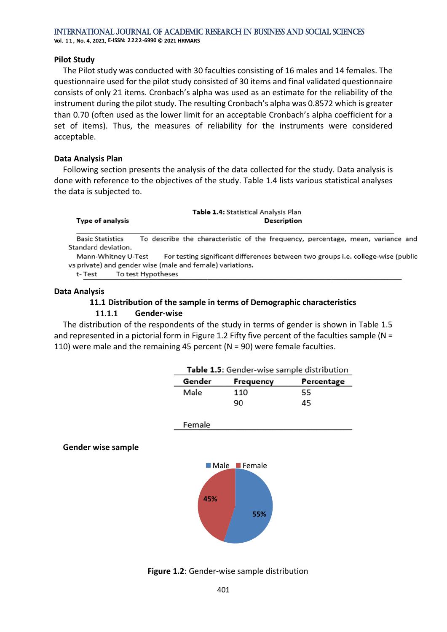**Vol. 1 1 , No. 4, 2021, E-ISSN: 2222-6990 © 2021 HRMARS**

#### **Pilot Study**

The Pilot study was conducted with 30 faculties consisting of 16 males and 14 females. The questionnaire used for the pilot study consisted of 30 items and final validated questionnaire consists of only 21 items. Cronbach's alpha was used as an estimate for the reliability of the instrument during the pilot study. The resulting Cronbach's alpha was 0.8572 which is greater than 0.70 (often used as the lower limit for an acceptable Cronbach's alpha coefficient for a set of items). Thus, the measures of reliability for the instruments were considered acceptable.

#### **Data Analysis Plan**

Following section presents the analysis of the data collected for the study. Data analysis is done with reference to the objectives of the study. Table 1.4 lists various statistical analyses the data is subjected to.

|                         | Table 1.4: Statistical Analysis Plan                                             |
|-------------------------|----------------------------------------------------------------------------------|
| Type of analysis        | <b>Description</b>                                                               |
| <b>Basic Statistics</b> | To describe the characteristic of the frequency, percentage, mean, variance and  |
| Standard deviation.     |                                                                                  |
| Mann-Whitney U-Test     | For testing significant differences between two groups i.e. college-wise (public |
|                         | vs private) and gender wise (male and female) variations.                        |
| t- Test                 | To test Hypotheses                                                               |

#### **Data Analysis**

## **11.1 Distribution of the sample in terms of Demographic characteristics**

#### **11.1.1 Gender‐wise**

The distribution of the respondents of the study in terms of gender is shown in Table 1.5 and represented in a pictorial form in Figure 1.2 Fifty five percent of the faculties sample (N = 110) were male and the remaining 45 percent (N = 90) were female faculties.

| Table 1.5: Gender-wise sample distribution |            |    |  |
|--------------------------------------------|------------|----|--|
| Gender                                     | Percentage |    |  |
| Male                                       | 110        | 55 |  |
|                                            | 90         | 45 |  |

Female

#### **Gender wise sample**



**Figure 1.2**: Gender-wise sample distribution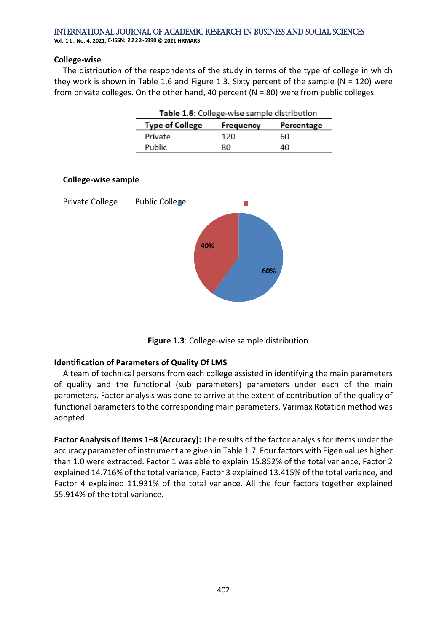**Vol. 1 1 , No. 4, 2021, E-ISSN: 2222-6990 © 2021 HRMARS**

#### **College‐wise**

The distribution of the respondents of the study in terms of the type of college in which they work is shown in Table 1.6 and Figure 1.3. Sixty percent of the sample ( $N = 120$ ) were from private colleges. On the other hand, 40 percent ( $N = 80$ ) were from public colleges.

| Table 1.6: College-wise sample distribution       |     |    |  |  |  |
|---------------------------------------------------|-----|----|--|--|--|
| <b>Type of College</b><br>Percentage<br>Frequency |     |    |  |  |  |
| Private                                           | 120 | 60 |  |  |  |
| Public                                            | 80  | 40 |  |  |  |



**Figure 1.3**: College-wise sample distribution

#### **Identification of Parameters of Quality Of LMS**

A team of technical persons from each college assisted in identifying the main parameters of quality and the functional (sub parameters) parameters under each of the main parameters. Factor analysis was done to arrive at the extent of contribution of the quality of functional parameters to the corresponding main parameters. Varimax Rotation method was adopted.

**Factor Analysis of Items 1–8 (Accuracy):** The results of the factor analysis for items under the accuracy parameter of instrument are given in Table 1.7. Four factors with Eigen values higher than 1.0 were extracted. Factor 1 was able to explain 15.852% of the total variance, Factor 2 explained 14.716% of the total variance, Factor 3 explained 13.415% of the total variance, and Factor 4 explained 11.931% of the total variance. All the four factors together explained 55.914% of the total variance.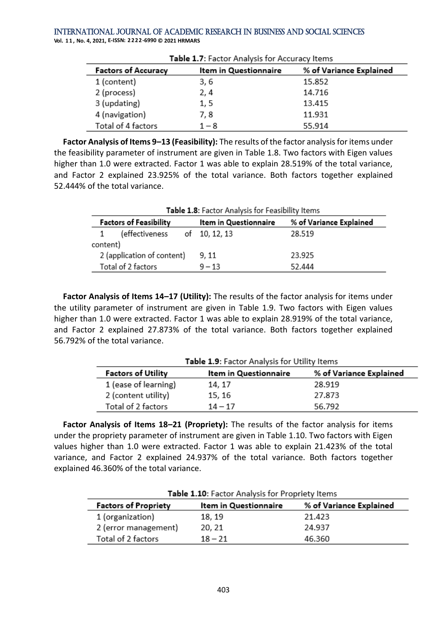**Vol. 1 1 , No. 4, 2021, E-ISSN: 2222-6990 © 2021 HRMARS**

| <b>Factors of Accuracy</b> | Item in Questionnaire | % of Variance Explained |  |  |
|----------------------------|-----------------------|-------------------------|--|--|
| 1 (content)                | 3, 6                  | 15.852                  |  |  |
| 2 (process)                | 2, 4                  | 14.716                  |  |  |
| 3 (updating)               | 1, 5                  | 13.415                  |  |  |
| 4 (navigation)             | 7, 8                  | 11.931                  |  |  |
| Total of 4 factors         | $1 - 8$               | 55.914                  |  |  |

Table 1 7: Eactor Analysis for Accuracy Items

**Factor Analysis of Items 9–13 (Feasibility):** The results of the factor analysis for items under the feasibility parameter of instrument are given in Table 1.8. Two factors with Eigen values higher than 1.0 were extracted. Factor 1 was able to explain 28.519% of the total variance, and Factor 2 explained 23.925% of the total variance. Both factors together explained 52.444% of the total variance.

|                            | Table 1.8: Factor Analysis for Feasibility Items                                  |  |               |        |  |  |
|----------------------------|-----------------------------------------------------------------------------------|--|---------------|--------|--|--|
|                            | % of Variance Explained<br><b>Factors of Feasibility</b><br>Item in Questionnaire |  |               |        |  |  |
|                            | (effectiveness                                                                    |  | of 10, 12, 13 | 28.519 |  |  |
| content)                   |                                                                                   |  |               |        |  |  |
| 2 (application of content) |                                                                                   |  | 9, 11         | 23.925 |  |  |
| Total of 2 factors         |                                                                                   |  | $9 - 13$      | 52.444 |  |  |

**Factor Analysis of Items 14–17 (Utility):** The results of the factor analysis for items under the utility parameter of instrument are given in Table 1.9. Two factors with Eigen values higher than 1.0 were extracted. Factor 1 was able to explain 28.919% of the total variance, and Factor 2 explained 27.873% of the total variance. Both factors together explained 56.792% of the total variance.

| Table 1.9: Factor Analysis for Utility Items |                       |                         |  |  |
|----------------------------------------------|-----------------------|-------------------------|--|--|
| <b>Factors of Utility</b>                    | Item in Questionnaire | % of Variance Explained |  |  |
| 1 (ease of learning)                         | 14, 17                | 28.919                  |  |  |
| 2 (content utility)                          | 15, 16                | 27.873                  |  |  |
| Total of 2 factors                           | $14 - 17$             | 56.792                  |  |  |

**Factor Analysis of Items 18–21 (Propriety):** The results of the factor analysis for items under the propriety parameter of instrument are given in Table 1.10. Two factors with Eigen values higher than 1.0 were extracted. Factor 1 was able to explain 21.423% of the total variance, and Factor 2 explained 24.937% of the total variance. Both factors together explained 46.360% of the total variance.

| Table 1.10: Factor Analysis for Propriety Items                                 |           |        |  |  |  |
|---------------------------------------------------------------------------------|-----------|--------|--|--|--|
| % of Variance Explained<br><b>Factors of Propriety</b><br>Item in Questionnaire |           |        |  |  |  |
| 1 (organization)                                                                | 18, 19    | 21.423 |  |  |  |
| 2 (error management)                                                            | 20, 21    | 24.937 |  |  |  |
| Total of 2 factors                                                              | $18 - 21$ | 46.360 |  |  |  |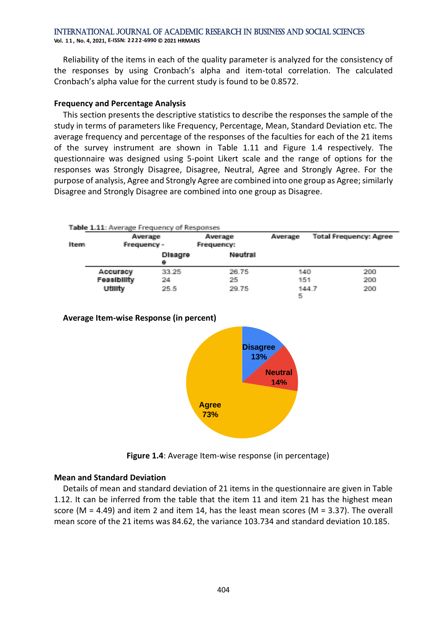**Vol. 1 1 , No. 4, 2021, E-ISSN: 2222-6990 © 2021 HRMARS**

Reliability of the items in each of the quality parameter is analyzed for the consistency of the responses by using Cronbach's alpha and item-total correlation. The calculated Cronbach's alpha value for the current study is found to be 0.8572.

#### **Frequency and Percentage Analysis**

This section presents the descriptive statistics to describe the responses the sample of the study in terms of parameters like Frequency, Percentage, Mean, Standard Deviation etc. The average frequency and percentage of the responses of the faculties for each of the 21 items of the survey instrument are shown in Table 1.11 and Figure 1.4 respectively. The questionnaire was designed using 5-point Likert scale and the range of options for the responses was Strongly Disagree, Disagree, Neutral, Agree and Strongly Agree. For the purpose of analysis, Agree and Strongly Agree are combined into one group as Agree; similarly Disagree and Strongly Disagree are combined into one group as Disagree.

| Item | Table 1.11: Average Frequency of Responses<br>Average<br>Frequency - |                     | Average<br>Frequency: | Average    | <b>Total Frequency: Agree</b> |
|------|----------------------------------------------------------------------|---------------------|-----------------------|------------|-------------------------------|
|      |                                                                      | <b>Disagre</b><br>e |                       |            |                               |
|      | <b>Accuracy</b>                                                      | 33.25               | 26.75                 | 140        | 200                           |
|      | Feasibility                                                          | 24                  | 25                    | 151        | 200                           |
|      | uturty                                                               | 25.5                | 29.75                 | 144.7<br>床 | 200                           |

#### **Average Item-wise Response (in percent)**



**Figure 1.4:** Average Item-wise response (in percentage)

# **Mean and Standard Deviation**

Details of mean and standard deviation of 21 items in the questionnaire are given in Table 1.12. It can be inferred from the table that the item 11 and item 21 has the highest mean score (M = 4.49) and item 2 and item 14, has the least mean scores (M = 3.37). The overall mean score of the 21 items was 84.62, the variance 103.734 and standard deviation 10.185.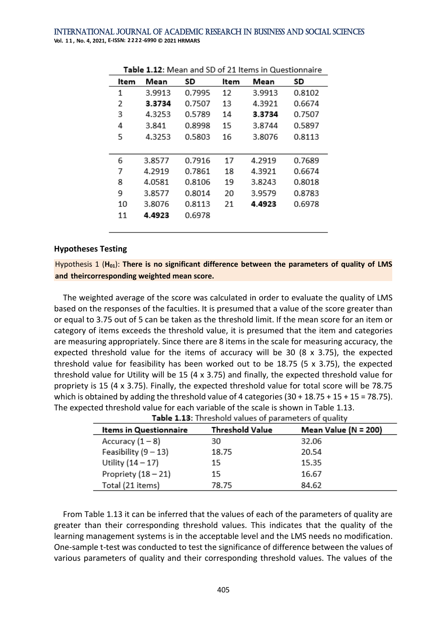International Journal of Academic Research in Business and Social Sciences **Vol. 1 1 , No. 4, 2021, E-ISSN: 2222-6990 © 2021 HRMARS**

| <b>1.12.</b> IVICAII ANU JD OI Z1 ItCHI3 IN QUESTIONIAIE |        |        |      |        |        |  |
|----------------------------------------------------------|--------|--------|------|--------|--------|--|
| ltem                                                     | Mean   | SD     | ltem | Mean   | SD     |  |
| 1                                                        | 3.9913 | 0.7995 | 12   | 3.9913 | 0.8102 |  |
| 2                                                        | 3.3734 | 0.7507 | 13   | 4.3921 | 0.6674 |  |
| 3                                                        | 4.3253 | 0.5789 | 14   | 3.3734 | 0.7507 |  |
| 4                                                        | 3.841  | 0.8998 | 15   | 3.8744 | 0.5897 |  |
| 5                                                        | 4.3253 | 0.5803 | 16   | 3.8076 | 0.8113 |  |
|                                                          |        |        |      |        |        |  |
| 6                                                        | 3.8577 | 0.7916 | 17   | 4.2919 | 0.7689 |  |
| 7                                                        | 4.2919 | 0.7861 | 18   | 4.3921 | 0.6674 |  |
| 8                                                        | 4.0581 | 0.8106 | 19   | 3.8243 | 0.8018 |  |
| 9                                                        | 3.8577 | 0.8014 | 20   | 3.9579 | 0.8783 |  |
| 10                                                       | 3.8076 | 0.8113 | 21   | 4.4923 | 0.6978 |  |
| 11                                                       | 4.4923 | 0.6978 |      |        |        |  |
|                                                          |        |        |      |        |        |  |

Table 1.12: Mean and SD of 21 Items in Questionnaire

#### **Hypotheses Testing**

Hypothesis 1 (**H01**): **There is no significant difference between the parameters of quality of LMS and theircorresponding weighted mean score.**

The weighted average of the score was calculated in order to evaluate the quality of LMS based on the responses of the faculties. It is presumed that a value of the score greater than or equal to 3.75 out of 5 can be taken as the threshold limit. If the mean score for an item or category of items exceeds the threshold value, it is presumed that the item and categories are measuring appropriately. Since there are 8 items in the scale for measuring accuracy, the expected threshold value for the items of accuracy will be 30 (8 x 3.75), the expected threshold value for feasibility has been worked out to be  $18.75$  (5 x 3.75), the expected threshold value for Utility will be 15 (4 x 3.75) and finally, the expected threshold value for propriety is 15 (4 x 3.75). Finally, the expected threshold value for total score will be 78.75 which is obtained by adding the threshold value of 4 categories  $(30 + 18.75 + 15 + 15 = 78.75)$ . The expected threshold value for each variable of the scale is shown in Table 1.13.

| Items in Questionnaire | Threshold Value | Mean Value (N = 200) |
|------------------------|-----------------|----------------------|
| Accuracy $(1-8)$       | 30              | 32.06                |
| Feasibility $(9 - 13)$ | 18.75           | 20.54                |
| Utility $(14 - 17)$    | 15              | 15.35                |
| Propriety $(18 - 21)$  | 15              | 16.67                |
| Total (21 items)       | 78.75           | 84.62                |

Table 1.13: Threshold values of parameters of quality

From Table 1.13 it can be inferred that the values of each of the parameters of quality are greater than their corresponding threshold values. This indicates that the quality of the learning management systems is in the acceptable level and the LMS needs no modification. One-sample t-test was conducted to test the significance of difference between the values of various parameters of quality and their corresponding threshold values. The values of the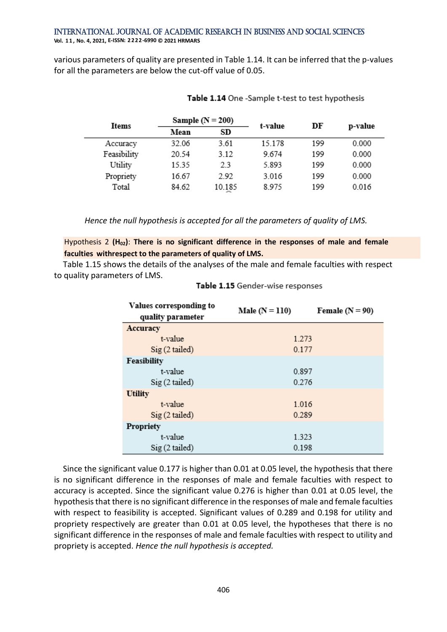various parameters of quality are presented in Table 1.14. It can be inferred that the p-values for all the parameters are below the cut-off value of 0.05.

| Items       | Sample $(N = 200)$ |        | t-value | DF  | p-value |
|-------------|--------------------|--------|---------|-----|---------|
|             | Mean               | SD     |         |     |         |
| Accuracy    | 32.06              | 3.61   | 15.178  | 199 | 0.000   |
| Feasibility | 20.54              | 3.12   | 9.674   | 199 | 0.000   |
| Utility     | 15.35              | 2.3    | 5.893   | 199 | 0.000   |
| Propriety   | 16.67              | 2.92   | 3.016   | 199 | 0.000   |
| Total       | 84.62              | 10.185 | 8.975   | 199 | 0.016   |

#### Table 1.14 One -Sample t-test to test hypothesis

*Hence the null hypothesis is accepted for all the parameters of quality of LMS.*

Hypothesis 2 **(H02)**: **There is no significant difference in the responses of male and female faculties withrespect to the parameters of quality of LMS.**

Table 1.15 shows the details of the analyses of the male and female faculties with respect to quality parameters of LMS.

| Values corresponding to | Male $(N = 110)$ | Female $(N = 90)$ |  |
|-------------------------|------------------|-------------------|--|
| quality parameter       |                  |                   |  |
| Accuracy                |                  |                   |  |
| t-value                 | 1.273            |                   |  |
| $Sig(2-tailed)$         | 0.177            |                   |  |
| Feasibility             |                  |                   |  |
| t-value                 | 0.897            |                   |  |
| $Sig(2-tailed)$         | 0.276            |                   |  |
| <b>Utility</b>          |                  |                   |  |
| t-value                 | 1.016            |                   |  |
| $Sig(2-tailed)$         | 0.289            |                   |  |
| <b>Propriety</b>        |                  |                   |  |
| t-value                 | 1.323            |                   |  |
| $Sig(2-tailed)$         | 0.198            |                   |  |

Table 1.15 Gender-wise responses

Since the significant value 0.177 is higher than 0.01 at 0.05 level, the hypothesis that there is no significant difference in the responses of male and female faculties with respect to accuracy is accepted. Since the significant value 0.276 is higher than 0.01 at 0.05 level, the hypothesis that there is no significant difference in the responses of male and female faculties with respect to feasibility is accepted. Significant values of 0.289 and 0.198 for utility and propriety respectively are greater than 0.01 at 0.05 level, the hypotheses that there is no significant difference in the responses of male and female faculties with respect to utility and propriety is accepted. *Hence the null hypothesis is accepted.*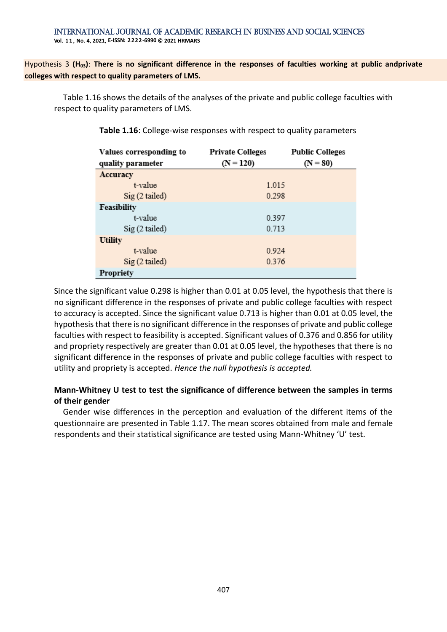Hypothesis 3 (H<sub>03</sub>): There is no significant difference in the responses of faculties working at public andprivate **colleges with respect to quality parameters of LMS.**

Table 1.16 shows the details of the analyses of the private and public college faculties with respect to quality parameters of LMS.

| Values corresponding to | <b>Private Colleges</b> | <b>Public Colleges</b> |  |
|-------------------------|-------------------------|------------------------|--|
| quality parameter       | $(N = 120)$             | $(N = 80)$             |  |
| Accuracy                |                         |                        |  |
| t-value                 | 1.015                   |                        |  |
| $Sig(2-tailed)$         | 0.298                   |                        |  |
| Feasibility             |                         |                        |  |
| t-value                 | 0.397                   |                        |  |
| $Sig(2-tailed)$         | 0.713                   |                        |  |
| <b>Utility</b>          |                         |                        |  |
| t-value                 | 0.924                   |                        |  |
| $Sig(2-tailed)$         | 0.376                   |                        |  |
| Propriety               |                         |                        |  |

**Table 1.16**: College-wise responses with respect to quality parameters

Since the significant value 0.298 is higher than 0.01 at 0.05 level, the hypothesis that there is no significant difference in the responses of private and public college faculties with respect to accuracy is accepted. Since the significant value 0.713 is higher than 0.01 at 0.05 level, the hypothesis that there is no significant difference in the responses of private and public college faculties with respect to feasibility is accepted. Significant values of 0.376 and 0.856 for utility and propriety respectively are greater than 0.01 at 0.05 level, the hypotheses that there is no significant difference in the responses of private and public college faculties with respect to utility and propriety is accepted. *Hence the null hypothesis is accepted.*

# **Mann‐Whitney U test to test the significance of difference between the samples in terms of their gender**

Gender wise differences in the perception and evaluation of the different items of the questionnaire are presented in Table 1.17. The mean scores obtained from male and female respondents and their statistical significance are tested using Mann-Whitney 'U' test.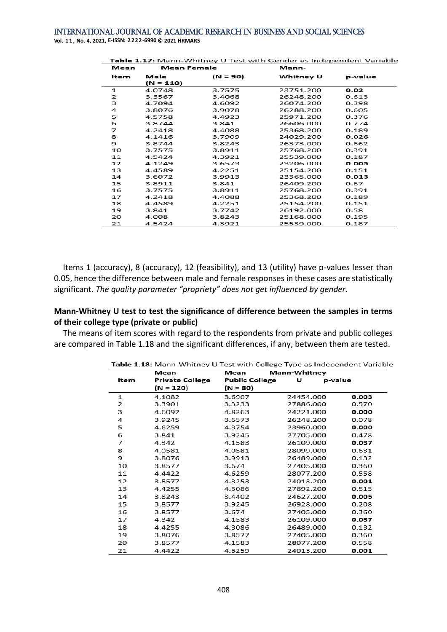**Vol. 1 1 , No. 4, 2021, E-ISSN: 2222-6990 © 2021 HRMARS**

| Table 1.17: Mann-Whitney U Test with Gender as Independent Variable |             |          |           |         |  |
|---------------------------------------------------------------------|-------------|----------|-----------|---------|--|
| Mean                                                                | Mean Female |          | Mann-     |         |  |
| ltem                                                                | Male        | (N = 90) | Whitney U | p-value |  |
|                                                                     | (N = 110)   |          |           |         |  |
| $\mathbf{1}$                                                        | 4.0748      | 3.7575   | 23751.200 | 0.02    |  |
| 2                                                                   | 3.3567      | 3.4068   | 26248.200 | 0.613   |  |
| 3                                                                   | 4.7094      | 4.6092   | 26074.200 | 0.398   |  |
| 4                                                                   | 3.8076      | 3.9078   | 26288.200 | 0.605   |  |
| 5                                                                   | 4.5758      | 4.4923   | 25971.200 | 0.376   |  |
| 6                                                                   | 3.8744      | 3.841    | 26606.000 | 0.774   |  |
| 7                                                                   | 4.2418      | 4.4088   | 25368.200 | 0.189   |  |
| 8                                                                   | 4.1416      | 3.7909   | 24029.200 | 0.026   |  |
| 9                                                                   | 3.8744      | 3.8243   | 26373.000 | 0.662   |  |
| 10                                                                  | 3.7575      | 3.8911   | 25768.200 | 0.391   |  |
| 11                                                                  | 4.5424      | 4.3921   | 25539.000 | 0.187   |  |
| 12                                                                  | 4.1249      | 3.6573   | 23206.000 | 0.005   |  |
| 13                                                                  | 4.4589      | 4.2251   | 25154.200 | 0.151   |  |
| 14                                                                  | 3.6072      | 3.9913   | 23365.000 | 0.013   |  |
| 15                                                                  | 3.8911      | 3.841    | 26409.200 | 0.67    |  |
| 16                                                                  | 3.7575      | 3.8911   | 25768.200 | 0.391   |  |
| 17                                                                  | 4.2418      | 4.4088   | 25368.200 | 0.189   |  |
| 18                                                                  | 4.4589      | 4.2251   | 25154.200 | 0.151   |  |
| 19                                                                  | 3.841       | 3.7742   | 26192.000 | 0.58    |  |
| 20                                                                  | 4.008       | 3.8243   | 25168.000 | 0.195   |  |
| 21                                                                  | 4.5424      | 4.3921   | 25539.000 | 0.187   |  |

Items 1 (accuracy), 8 (accuracy), 12 (feasibility), and 13 (utility) have p-values lesser than 0.05, hence the difference between male and female responses in these cases are statistically significant. *The quality parameter "propriety" does not get influenced by gender.*

#### **Mann‐Whitney U test to test the significance of difference between the samples in terms of their college type (private or public)**

The means of item scores with regard to the respondents from private and public colleges are compared in Table 1.18 and the significant differences, if any, between them are tested.

|      | Mean                   | Mann-Whitney<br>Mean  |              |       |
|------|------------------------|-----------------------|--------------|-------|
| ltem | <b>Private College</b> | <b>Public College</b> | υ<br>p-value |       |
|      | (N = 120)              | (N = 80)              |              |       |
| 1    | 4.1082                 | 3.6907                | 24454.000    | 0.003 |
| 2    | 3.3901                 | 3.3233                | 27886.000    | 0.570 |
| 3    | 4.6092                 | 4.8263                | 24221.000    | 0.000 |
| 4    | 3.9245                 | 3.6573                | 26248.200    | 0.078 |
| 5    | 4.6259                 | 4.3754                | 23960.000    | 0.000 |
| 6    | 3.841                  | 3.9245                | 27705.000    | 0.478 |
| 7    | 4.342                  | 4.1583                | 26109.000    | 0.037 |
| 8    | 4.0581                 | 4.0581                | 28099.000    | 0.631 |
| 9    | 3.8076                 | 3.9913                | 26489.000    | 0.132 |
| 10   | 3.8577                 | 3.674                 | 27405.000    | 0.360 |
| 11   | 4.4422                 | 4.6259                | 28077.200    | 0.558 |
| 12   | 3.8577                 | 4.3253                | 24013.200    | 0.001 |
| 13   | 4.4255                 | 4.3086                | 27892.200    | 0.515 |
| 14   | 3.8243                 | 3.4402                | 24627.200    | 0.005 |
| 15   | 3.8577                 | 3.9245                | 26928.000    | 0.208 |
| 16   | 3.8577                 | 3.674                 | 27405.000    | 0.360 |
| 17   | 4.342                  | 4.1583                | 26109.000    | 0.037 |
| 18   | 4.4255                 | 4.3086                | 26489.000    | 0.132 |
| 19   | 3.8076                 | 3.8577                | 27405.000    | 0.360 |
| 20   | 3.8577                 | 4.1583                | 28077.200    | 0.558 |
| 21   | 4.4422                 | 4.6259                | 24013.200    | 0.001 |

Table 1.18: Mann-Whitney U Test with College Type as Independent Variable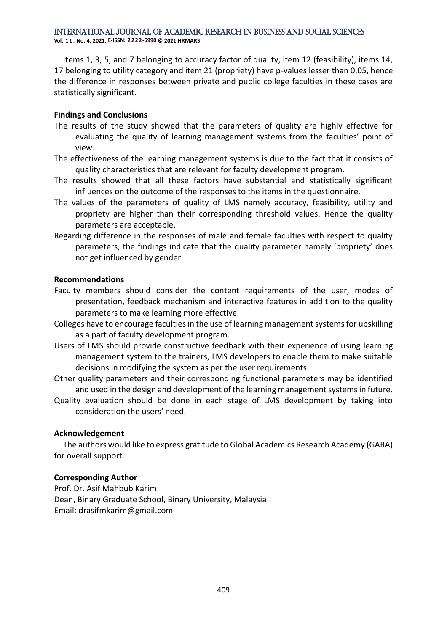**Vol. 1 1 , No. 4, 2021, E-ISSN: 2222-6990 © 2021 HRMARS**

Items 1, 3, 5, and 7 belonging to accuracy factor of quality, item 12 (feasibility), items 14, 17 belonging to utility category and item 21 (propriety) have p-values lesser than 0.05, hence the difference in responses between private and public college faculties in these cases are statistically significant.

## **Findings and Conclusions**

- The results of the study showed that the parameters of quality are highly effective for evaluating the quality of learning management systems from the faculties' point of view.
- The effectiveness of the learning management systems is due to the fact that it consists of quality characteristics that are relevant for faculty development program.
- The results showed that all these factors have substantial and statistically significant influences on the outcome of the responses to the items in the questionnaire.
- The values of the parameters of quality of LMS namely accuracy, feasibility, utility and propriety are higher than their corresponding threshold values. Hence the quality parameters are acceptable.
- Regarding difference in the responses of male and female faculties with respect to quality parameters, the findings indicate that the quality parameter namely 'propriety' does not get influenced by gender.

#### **Recommendations**

- Faculty members should consider the content requirements of the user, modes of presentation, feedback mechanism and interactive features in addition to the quality parameters to make learning more effective.
- Colleges have to encourage faculties in the use of learning management systems for upskilling as a part of faculty development program.
- Users of LMS should provide constructive feedback with their experience of using learning management system to the trainers, LMS developers to enable them to make suitable decisions in modifying the system as per the user requirements.
- Other quality parameters and their corresponding functional parameters may be identified and used in the design and development of the learning management systems in future.
- Quality evaluation should be done in each stage of LMS development by taking into consideration the users' need.

# **Acknowledgement**

The authors would like to express gratitude to Global Academics Research Academy (GARA) for overall support.

#### **Corresponding Author**

Prof. Dr. Asif Mahbub Karim Dean, Binary Graduate School, Binary University, Malaysia Email: drasifmkarim@gmail.com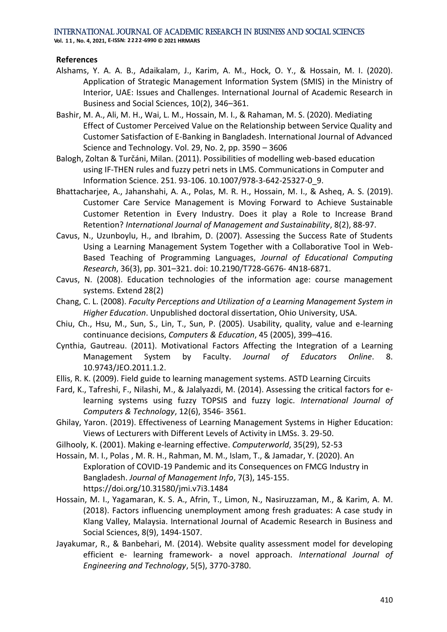**Vol. 1 1 , No. 4, 2021, E-ISSN: 2222-6990 © 2021 HRMARS**

#### **References**

- Alshams, Y. A. A. B., Adaikalam, J., Karim, A. M., Hock, O. Y., & Hossain, M. I. (2020). Application of Strategic Management Information System (SMIS) in the Ministry of Interior, UAE: Issues and Challenges. International Journal of Academic Research in Business and Social Sciences, 10(2), 346–361.
- Bashir, M. A., Ali, M. H., Wai, L. M., Hossain, M. I., & Rahaman, M. S. (2020). Mediating Effect of Customer Perceived Value on the Relationship between Service Quality and Customer Satisfaction of E-Banking in Bangladesh. International Journal of Advanced Science and Technology. Vol. 29, No. 2, pp. 3590 – 3606
- Balogh, Zoltan & Turčáni, Milan. (2011). Possibilities of modelling web-based education using IF-THEN rules and fuzzy petri nets in LMS. Communications in Computer and Information Science. 251. 93-106. 10.1007/978-3-642-25327-0\_9.
- Bhattacharjee, A., Jahanshahi, A. A., Polas, M. R. H., Hossain, M. I., & Asheq, A. S. (2019). Customer Care Service Management is Moving Forward to Achieve Sustainable Customer Retention in Every Industry. Does it play a Role to Increase Brand Retention? *International Journal of Management and Sustainability*, 8(2), 88-97.
- Cavus, N., Uzunboylu, H., and Ibrahim, D. (2007). Assessing the Success Rate of Students Using a Learning Management System Together with a Collaborative Tool in Web-Based Teaching of Programming Languages, *Journal of Educational Computing Research*, 36(3), pp. 301–321. doi: 10.2190/T728-G676- 4N18-6871.
- Cavus, N. (2008). Education technologies of the information age: course management systems. Extend 28(2)
- Chang, C. L. (2008). *Faculty Perceptions and Utilization of a Learning Management System in Higher Education*. Unpublished doctoral dissertation, Ohio University, USA.
- Chiu, Ch., Hsu, M., Sun, S., Lin, T., Sun, P. (2005). Usability, quality, value and e-learning continuance decisions, *Computers & Education*, 45 (2005), 399–416.
- Cynthia, Gautreau. (2011). Motivational Factors Affecting the Integration of a Learning Management System by Faculty. *Journal of Educators Online*. 8. 10.9743/JEO.2011.1.2.
- Ellis, R. K. (2009). Field guide to learning management systems. ASTD Learning Circuits
- Fard, K., Tafreshi, F., Nilashi, M., & Jalalyazdi, M. (2014). Assessing the critical factors for elearning systems using fuzzy TOPSIS and fuzzy logic. *International Journal of Computers & Technology*, 12(6), 3546- 3561.
- Ghilay, Yaron. (2019). Effectiveness of Learning Management Systems in Higher Education: Views of Lecturers with Different Levels of Activity in LMSs. 3. 29-50.
- Gilhooly, K. (2001). Making e-learning effective. *Computerworld*, 35(29), 52-53
- Hossain, M. I., Polas , M. R. H., Rahman, M. M., Islam, T., & Jamadar, Y. (2020). An Exploration of COVID-19 Pandemic and its Consequences on FMCG Industry in Bangladesh. *Journal of Management Info*, 7(3), 145-155. https://doi.org/10.31580/jmi.v7i3.1484
- Hossain, M. I., Yagamaran, K. S. A., Afrin, T., Limon, N., Nasiruzzaman, M., & Karim, A. M. (2018). Factors influencing unemployment among fresh graduates: A case study in Klang Valley, Malaysia. International Journal of Academic Research in Business and Social Sciences, 8(9), 1494-1507.
- Jayakumar, R., & Banbehari, M. (2014). Website quality assessment model for developing efficient e- learning framework- a novel approach. *International Journal of Engineering and Technology*, 5(5), 3770-3780.